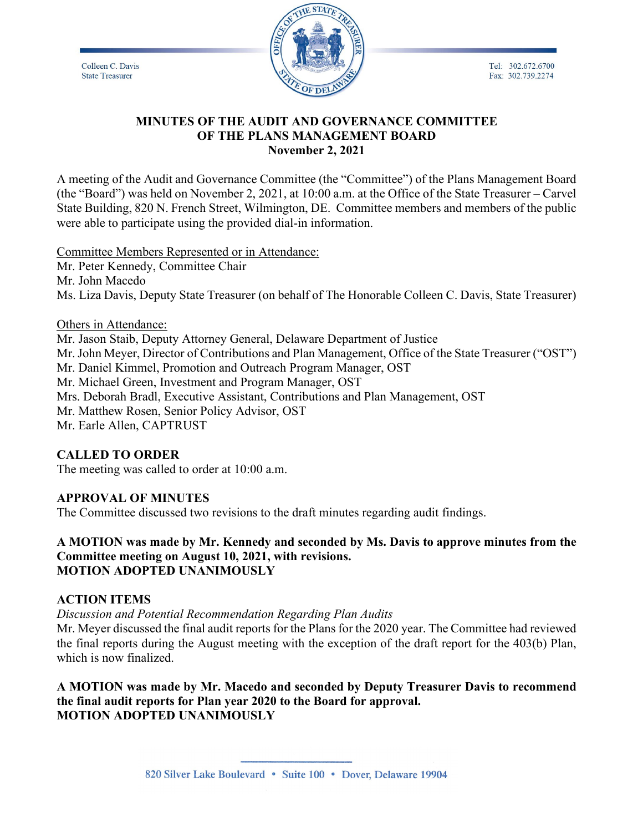Tel: 302.672.6700

Fax: 302.739.2274

Colleen C. Davis **State Treasurer** 



### **MINUTES OF THE AUDIT AND GOVERNANCE COMMITTEE OF THE PLANS MANAGEMENT BOARD November 2, 2021**

A meeting of the Audit and Governance Committee (the "Committee") of the Plans Management Board (the "Board") was held on November 2, 2021, at 10:00 a.m. at the Office of the State Treasurer – Carvel State Building, 820 N. French Street, Wilmington, DE. Committee members and members of the public were able to participate using the provided dial-in information.

Committee Members Represented or in Attendance:

Mr. Peter Kennedy, Committee Chair Mr. John Macedo Ms. Liza Davis, Deputy State Treasurer (on behalf of The Honorable Colleen C. Davis, State Treasurer)

Others in Attendance: Mr. Jason Staib, Deputy Attorney General, Delaware Department of Justice Mr. John Meyer, Director of Contributions and Plan Management, Office of the State Treasurer ("OST") Mr. Daniel Kimmel, Promotion and Outreach Program Manager, OST Mr. Michael Green, Investment and Program Manager, OST Mrs. Deborah Bradl, Executive Assistant, Contributions and Plan Management, OST Mr. Matthew Rosen, Senior Policy Advisor, OST Mr. Earle Allen, CAPTRUST

## **CALLED TO ORDER**

The meeting was called to order at 10:00 a.m.

### **APPROVAL OF MINUTES**

The Committee discussed two revisions to the draft minutes regarding audit findings.

**A MOTION was made by Mr. Kennedy and seconded by Ms. Davis to approve minutes from the Committee meeting on August 10, 2021, with revisions. MOTION ADOPTED UNANIMOUSLY**

### **ACTION ITEMS**

*Discussion and Potential Recommendation Regarding Plan Audits*

Mr. Meyer discussed the final audit reports for the Plans for the 2020 year. The Committee had reviewed the final reports during the August meeting with the exception of the draft report for the 403(b) Plan, which is now finalized.

**A MOTION was made by Mr. Macedo and seconded by Deputy Treasurer Davis to recommend the final audit reports for Plan year 2020 to the Board for approval. MOTION ADOPTED UNANIMOUSLY**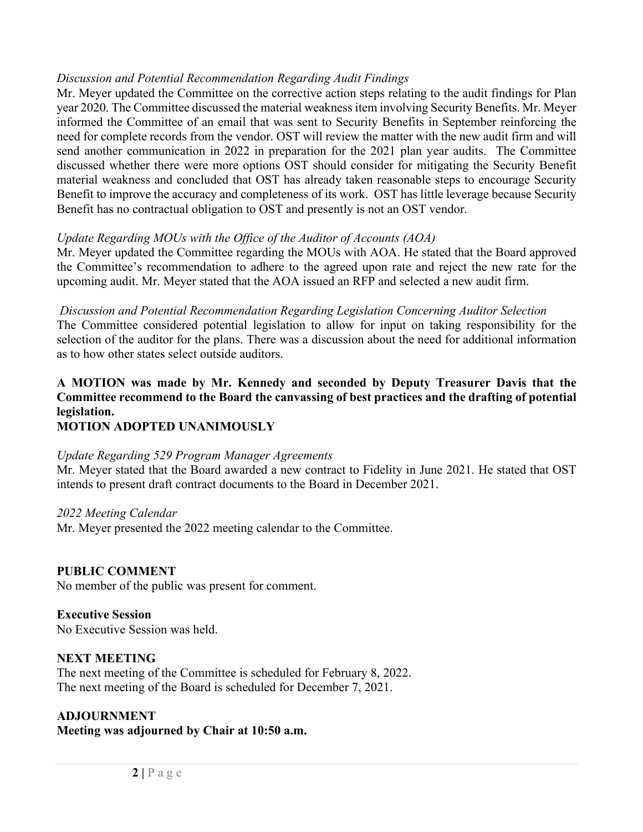### *Discussion and Potential Recommendation Regarding Audit Findings*

Mr. Meyer updated the Committee on the corrective action steps relating to the audit findings for Plan year 2020. The Committee discussed the material weakness item involving Security Benefits. Mr. Meyer informed the Committee of an email that was sent to Security Benefits in September reinforcing the need for complete records from the vendor. OST will review the matter with the new audit firm and will send another communication in 2022 in preparation for the 2021 plan year audits. The Committee discussed whether there were more options OST should consider for mitigating the Security Benefit material weakness and concluded that OST has already taken reasonable steps to encourage Security Benefit to improve the accuracy and completeness of its work. OST has little leverage because Security Benefit has no contractual obligation to OST and presently is not an OST vendor.

### *Update Regarding MOUs with the Office of the Auditor of Accounts (AOA)*

Mr. Meyer updated the Committee regarding the MOUs with AOA. He stated that the Board approved the Committee's recommendation to adhere to the agreed upon rate and reject the new rate for the upcoming audit. Mr. Meyer stated that the AOA issued an RFP and selected a new audit firm.

### *Discussion and Potential Recommendation Regarding Legislation Concerning Auditor Selection*

The Committee considered potential legislation to allow for input on taking responsibility for the selection of the auditor for the plans. There was a discussion about the need for additional information as to how other states select outside auditors.

# **A MOTION was made by Mr. Kennedy and seconded by Deputy Treasurer Davis that the Committee recommend to the Board the canvassing of best practices and the drafting of potential legislation.**

## **MOTION ADOPTED UNANIMOUSLY**

### *Update Regarding 529 Program Manager Agreements*

Mr. Meyer stated that the Board awarded a new contract to Fidelity in June 2021. He stated that OST intends to present draft contract documents to the Board in December 2021.

### *2022 Meeting Calendar*

Mr. Meyer presented the 2022 meeting calendar to the Committee.

### **PUBLIC COMMENT**

No member of the public was present for comment.

### **Executive Session**

No Executive Session was held.

### **NEXT MEETING**

The next meeting of the Committee is scheduled for February 8, 2022. The next meeting of the Board is scheduled for December 7, 2021.

#### **ADJOURNMENT Meeting was adjourned by Chair at 10:50 a.m.**